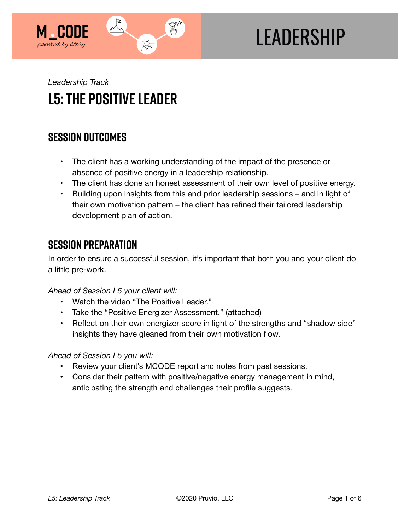

# **LEADERSHIP**

## *Leadership Track*  **L5: The Positive Leader**

## **SESSION OUTCOMES**

- The client has a working understanding of the impact of the presence or absence of positive energy in a leadership relationship.
- The client has done an honest assessment of their own level of positive energy.
- Building upon insights from this and prior leadership sessions and in light of their own motivation pattern – the client has refined their tailored leadership development plan of action.

### **SESSION PREPARATION**

In order to ensure a successful session, it's important that both you and your client do a little pre-work.

#### *Ahead of Session L5 your client will:*

- Watch the video "The Positive Leader."
- Take the "Positive Energizer Assessment." (attached)
- Reflect on their own energizer score in light of the strengths and "shadow side" insights they have gleaned from their own motivation flow.

#### *Ahead of Session L5 you will:*

- Review your client's MCODE report and notes from past sessions.
- Consider their pattern with positive/negative energy management in mind, anticipating the strength and challenges their profile suggests.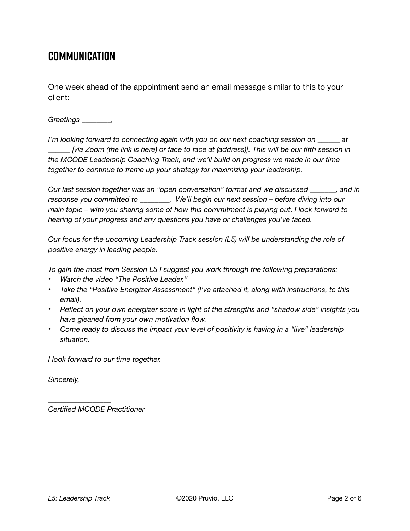## **COMMUNICATION**

One week ahead of the appointment send an email message similar to this to your client:

*Greetings \_\_\_\_\_\_\_\_,* 

*I'm looking forward to connecting again with you on our next coaching session on \_\_\_\_\_\_ at \_\_\_\_\_\_ [via Zoom (the link is here) or face to face at (address)]. This will be our fifth session in the MCODE Leadership Coaching Track, and we'll build on progress we made in our time together to continue to frame up your strategy for maximizing your leadership.* 

*Our last session together was an "open conversation" format and we discussed \_\_\_\_\_\_\_, and in response you committed to \_\_\_\_\_\_\_\_. We'll begin our next session – before diving into our main topic – with you sharing some of how this commitment is playing out. I look forward to hearing of your progress and any questions you have or challenges you've faced.* 

*Our focus for the upcoming Leadership Track session (L5) will be understanding the role of positive energy in leading people.* 

*To gain the most from Session L5 I suggest you work through the following preparations:* 

- *Watch the video "The Positive Leader."*
- *Take the "Positive Energizer Assessment" (I've attached it, along with instructions, to this email).*
- *Reflect on your own energizer score in light of the strengths and "shadow side" insights you have gleaned from your own motivation flow.*
- *Come ready to discuss the impact your level of positivity is having in a "live" leadership situation.*

*I look forward to our time together.* 

*Sincerely,* 

*Certified MCODE Practitioner*

*\_\_\_\_\_\_\_\_\_\_\_\_\_\_\_\_\_*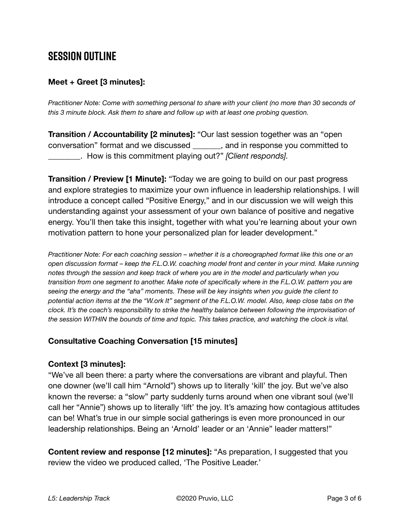## **SESSION OUTLINE**

#### **Meet + Greet [3 minutes]:**

*Practitioner Note: Come with something personal to share with your client (no more than 30 seconds of this 3 minute block. Ask them to share and follow up with at least one probing question.* 

**Transition / Accountability [2 minutes]:** "Our last session together was an "open conversation" format and we discussed \_\_\_\_\_\_\_, and in response you committed to \_\_\_\_\_\_\_\_. How is this commitment playing out?" *[Client responds].* 

**Transition / Preview [1 Minute]:** "Today we are going to build on our past progress and explore strategies to maximize your own influence in leadership relationships. I will introduce a concept called "Positive Energy," and in our discussion we will weigh this understanding against your assessment of your own balance of positive and negative energy. You'll then take this insight, together with what you're learning about your own motivation pattern to hone your personalized plan for leader development."

*Practitioner Note: For each coaching session – whether it is a choreographed format like this one or an open discussion format – keep the F.L.O.W. coaching model front and center in your mind. Make running notes through the session and keep track of where you are in the model and particularly when you transition from one segment to another. Make note of specifically where in the F.L.O.W. pattern you are seeing the energy and the "aha" moments. These will be key insights when you guide the client to potential action items at the the "W.ork It" segment of the F.L.O.W. model. Also, keep close tabs on the clock. It's the coach's responsibility to strike the healthy balance between following the improvisation of the session WITHIN the bounds of time and topic. This takes practice, and watching the clock is vital.*

#### **Consultative Coaching Conversation [15 minutes]**

#### **Context [3 minutes]:**

"We've all been there: a party where the conversations are vibrant and playful. Then one downer (we'll call him "Arnold") shows up to literally 'kill' the joy. But we've also known the reverse: a "slow" party suddenly turns around when one vibrant soul (we'll call her "Annie") shows up to literally 'lift' the joy. It's amazing how contagious attitudes can be! What's true in our simple social gatherings is even more pronounced in our leadership relationships. Being an 'Arnold' leader or an 'Annie" leader matters!"

**Content review and response [12 minutes]:** "As preparation, I suggested that you review the video we produced called, 'The Positive Leader.'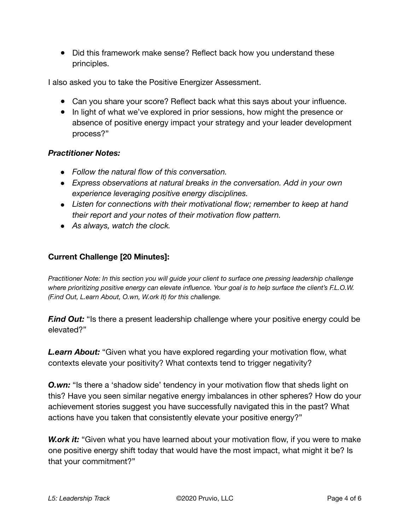• Did this framework make sense? Reflect back how you understand these principles.

I also asked you to take the Positive Energizer Assessment.

- Can you share your score? Reflect back what this says about your influence.
- In light of what we've explored in prior sessions, how might the presence or absence of positive energy impact your strategy and your leader development process?"

#### *Practitioner Notes:*

- *Follow the natural flow of this conversation.*
- *Express observations at natural breaks in the conversation. Add in your own experience leveraging positive energy disciplines.*
- *Listen for connections with their motivational flow; remember to keep at hand their report and your notes of their motivation flow pattern.*
- *As always, watch the clock.*

#### **Current Challenge [20 Minutes]:**

*Practitioner Note: In this section you will guide your client to surface one pressing leadership challenge where prioritizing positive energy can elevate influence. Your goal is to help surface the client's F.L.O.W. (F.ind Out, L.earn About, O.wn, W.ork It) for this challenge.* 

*F.ind Out:* "Is there a present leadership challenge where your positive energy could be elevated?"

*L.earn About:* "Given what you have explored regarding your motivation flow, what contexts elevate your positivity? What contexts tend to trigger negativity?

**O.wn:** "Is there a 'shadow side' tendency in your motivation flow that sheds light on this? Have you seen similar negative energy imbalances in other spheres? How do your achievement stories suggest you have successfully navigated this in the past? What actions have you taken that consistently elevate your positive energy?"

**W.ork it:** "Given what you have learned about your motivation flow, if you were to make one positive energy shift today that would have the most impact, what might it be? Is that your commitment?"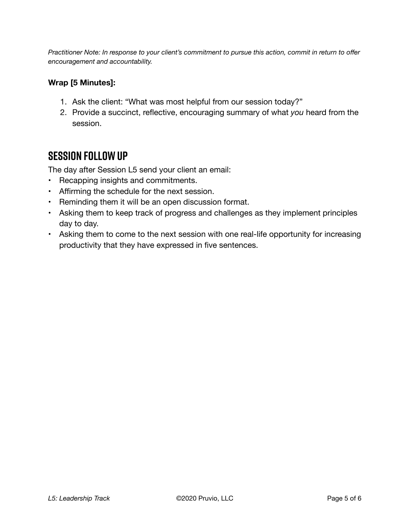*Practitioner Note: In response to your client's commitment to pursue this action, commit in return to offer encouragement and accountability.* 

#### **Wrap [5 Minutes]:**

- 1. Ask the client: "What was most helpful from our session today?"
- 2. Provide a succinct, reflective, encouraging summary of what *you* heard from the session.

## **SESSION FOLLOW UP**

The day after Session L5 send your client an email:

- Recapping insights and commitments.
- Affirming the schedule for the next session.
- Reminding them it will be an open discussion format.
- Asking them to keep track of progress and challenges as they implement principles day to day.
- Asking them to come to the next session with one real-life opportunity for increasing productivity that they have expressed in five sentences.